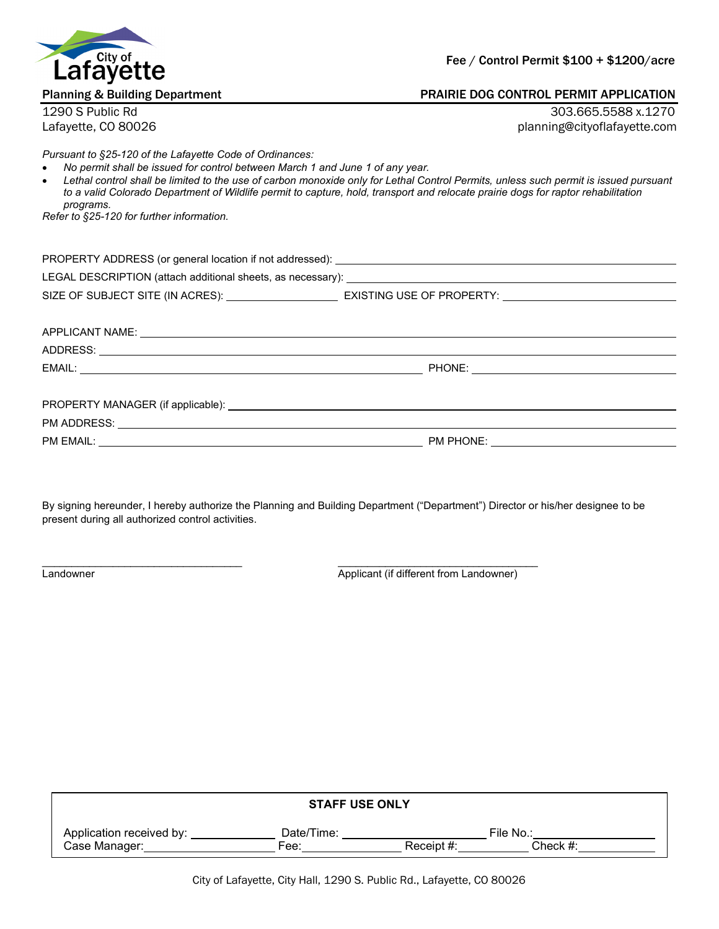

Fee / Control Permit \$100 + \$1200/acre

## Planning & Building Department PRAIRIE DOG CONTROL PERMIT APPLICATION

1290 S Public Rd 303.665.5588 x.1270 Lafayette, CO 80026 planning@cityoflafayette.com

*Pursuant to §25-120 of the Lafayette Code of Ordinances:*

- *No permit shall be issued for control between March 1 and June 1 of any year.*
- *Lethal control shall be limited to the use of carbon monoxide only for Lethal Control Permits, unless such permit is issued pursuant to a valid Colorado Department of Wildlife permit to capture, hold, transport and relocate prairie dogs for raptor rehabilitation programs.*

*Refer to §25-120 for further information.*

PROPERTY ADDRESS (or general location if not addressed): \_\_\_\_\_\_\_\_\_\_\_\_\_\_\_\_\_\_\_\_\_\_\_\_ LEGAL DESCRIPTION (attach additional sheets, as necessary): \_\_\_\_\_\_\_\_\_\_\_\_\_\_\_\_\_\_\_\_ SIZE OF SUBJECT SITE (IN ACRES): EXISTING USE OF PROPERTY:

| ADDRESS:<br><u> 1989 - John Stoff, amerikansk politiker (* 1989)</u> |           |  |
|----------------------------------------------------------------------|-----------|--|
|                                                                      |           |  |
|                                                                      |           |  |
|                                                                      |           |  |
|                                                                      |           |  |
| PM EMAIL:                                                            | PM PHONE: |  |

By signing hereunder, I hereby authorize the Planning and Building Department ("Department") Director or his/her designee to be present during all authorized control activities.

 $\_$  ,  $\_$  ,  $\_$  ,  $\_$  ,  $\_$  ,  $\_$  ,  $\_$  ,  $\_$  ,  $\_$  ,  $\_$  ,  $\_$  ,  $\_$  ,  $\_$  ,  $\_$  ,  $\_$  ,  $\_$  ,  $\_$  ,  $\_$  ,  $\_$  ,  $\_$ Landowner **Applicant (if different from Landowner)** 

| <b>STAFF USE ONLY</b>    |            |            |           |  |  |
|--------------------------|------------|------------|-----------|--|--|
| Application received by: | Date/Time: |            | File No.: |  |  |
| Case Manager:            | Fee:       | Receipt #: | Check #:  |  |  |